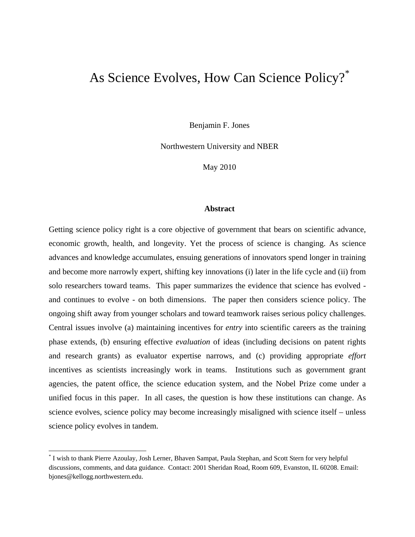# As Science Evolves, How Can Science Policy?\*

Benjamin F. Jones

Northwestern University and NBER

May 2010

## **Abstract**

Getting science policy right is a core objective of government that bears on scientific advance, economic growth, health, and longevity. Yet the process of science is changing. As science advances and knowledge accumulates, ensuing generations of innovators spend longer in training and become more narrowly expert, shifting key innovations (i) later in the life cycle and (ii) from solo researchers toward teams. This paper summarizes the evidence that science has evolved and continues to evolve - on both dimensions. The paper then considers science policy. The ongoing shift away from younger scholars and toward teamwork raises serious policy challenges. Central issues involve (a) maintaining incentives for *entry* into scientific careers as the training phase extends, (b) ensuring effective *evaluation* of ideas (including decisions on patent rights and research grants) as evaluator expertise narrows, and (c) providing appropriate *effort* incentives as scientists increasingly work in teams. Institutions such as government grant agencies, the patent office, the science education system, and the Nobel Prize come under a unified focus in this paper. In all cases, the question is how these institutions can change. As science evolves, science policy may become increasingly misaligned with science itself – unless science policy evolves in tandem.

<sup>\*</sup> I wish to thank Pierre Azoulay, Josh Lerner, Bhaven Sampat, Paula Stephan, and Scott Stern for very helpful discussions, comments, and data guidance. Contact: 2001 Sheridan Road, Room 609, Evanston, IL 60208. Email: bjones@kellogg.northwestern.edu.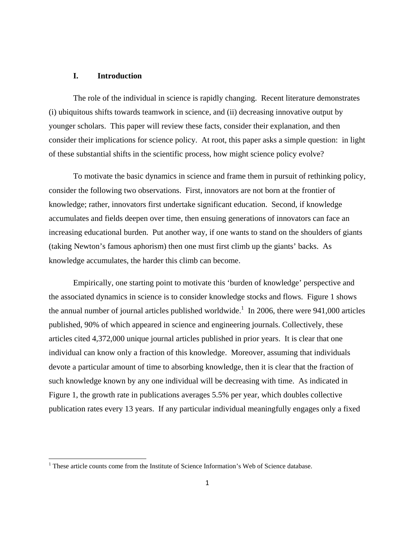# **I. Introduction**

The role of the individual in science is rapidly changing. Recent literature demonstrates (i) ubiquitous shifts towards teamwork in science, and (ii) decreasing innovative output by younger scholars. This paper will review these facts, consider their explanation, and then consider their implications for science policy. At root, this paper asks a simple question: in light of these substantial shifts in the scientific process, how might science policy evolve?

To motivate the basic dynamics in science and frame them in pursuit of rethinking policy, consider the following two observations. First, innovators are not born at the frontier of knowledge; rather, innovators first undertake significant education. Second, if knowledge accumulates and fields deepen over time, then ensuing generations of innovators can face an increasing educational burden. Put another way, if one wants to stand on the shoulders of giants (taking Newton's famous aphorism) then one must first climb up the giants' backs. As knowledge accumulates, the harder this climb can become.

Empirically, one starting point to motivate this 'burden of knowledge' perspective and the associated dynamics in science is to consider knowledge stocks and flows. Figure 1 shows the annual number of journal articles published worldwide.<sup>1</sup> In 2006, there were 941,000 articles published, 90% of which appeared in science and engineering journals. Collectively, these articles cited 4,372,000 unique journal articles published in prior years. It is clear that one individual can know only a fraction of this knowledge. Moreover, assuming that individuals devote a particular amount of time to absorbing knowledge, then it is clear that the fraction of such knowledge known by any one individual will be decreasing with time. As indicated in Figure 1, the growth rate in publications averages 5.5% per year, which doubles collective publication rates every 13 years. If any particular individual meaningfully engages only a fixed

<sup>&</sup>lt;sup>1</sup> These article counts come from the Institute of Science Information's Web of Science database.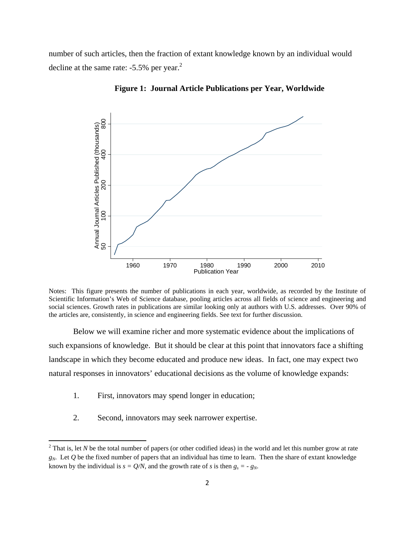number of such articles, then the fraction of extant knowledge known by an individual would decline at the same rate:  $-5.5\%$  per year.<sup>2</sup>



**Figure 1: Journal Article Publications per Year, Worldwide** 

Notes: This figure presents the number of publications in each year, worldwide, as recorded by the Institute of Scientific Information's Web of Science database, pooling articles across all fields of science and engineering and social sciences. Growth rates in publications are similar looking only at authors with U.S. addresses. Over 90% of the articles are, consistently, in science and engineering fields. See text for further discussion.

Below we will examine richer and more systematic evidence about the implications of such expansions of knowledge. But it should be clear at this point that innovators face a shifting landscape in which they become educated and produce new ideas. In fact, one may expect two natural responses in innovators' educational decisions as the volume of knowledge expands:

- 1. First, innovators may spend longer in education;
- 2. Second, innovators may seek narrower expertise.

<sup>&</sup>lt;sup>2</sup> That is, let *N* be the total number of papers (or other codified ideas) in the world and let this number grow at rate  $g_N$ . Let  $Q$  be the fixed number of papers that an individual has time to learn. Then the share of extant knowledge known by the individual is  $s = Q/N$ , and the growth rate of *s* is then  $g_s = -g_N$ .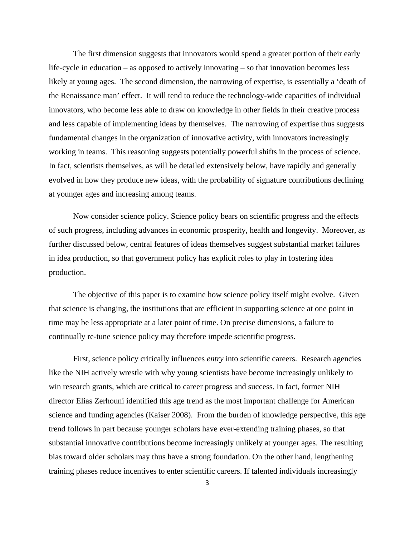The first dimension suggests that innovators would spend a greater portion of their early life-cycle in education – as opposed to actively innovating – so that innovation becomes less likely at young ages. The second dimension, the narrowing of expertise, is essentially a 'death of the Renaissance man' effect. It will tend to reduce the technology-wide capacities of individual innovators, who become less able to draw on knowledge in other fields in their creative process and less capable of implementing ideas by themselves. The narrowing of expertise thus suggests fundamental changes in the organization of innovative activity, with innovators increasingly working in teams. This reasoning suggests potentially powerful shifts in the process of science. In fact, scientists themselves, as will be detailed extensively below, have rapidly and generally evolved in how they produce new ideas, with the probability of signature contributions declining at younger ages and increasing among teams.

Now consider science policy. Science policy bears on scientific progress and the effects of such progress, including advances in economic prosperity, health and longevity. Moreover, as further discussed below, central features of ideas themselves suggest substantial market failures in idea production, so that government policy has explicit roles to play in fostering idea production.

The objective of this paper is to examine how science policy itself might evolve. Given that science is changing, the institutions that are efficient in supporting science at one point in time may be less appropriate at a later point of time. On precise dimensions, a failure to continually re-tune science policy may therefore impede scientific progress.

First, science policy critically influences *entry* into scientific careers. Research agencies like the NIH actively wrestle with why young scientists have become increasingly unlikely to win research grants, which are critical to career progress and success. In fact, former NIH director Elias Zerhouni identified this age trend as the most important challenge for American science and funding agencies (Kaiser 2008). From the burden of knowledge perspective, this age trend follows in part because younger scholars have ever-extending training phases, so that substantial innovative contributions become increasingly unlikely at younger ages. The resulting bias toward older scholars may thus have a strong foundation. On the other hand, lengthening training phases reduce incentives to enter scientific careers. If talented individuals increasingly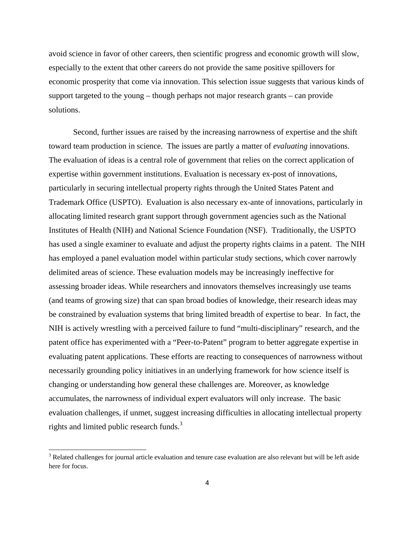avoid science in favor of other careers, then scientific progress and economic growth will slow, especially to the extent that other careers do not provide the same positive spillovers for economic prosperity that come via innovation. This selection issue suggests that various kinds of support targeted to the young – though perhaps not major research grants – can provide solutions.

Second, further issues are raised by the increasing narrowness of expertise and the shift toward team production in science. The issues are partly a matter of *evaluating* innovations. The evaluation of ideas is a central role of government that relies on the correct application of expertise within government institutions. Evaluation is necessary ex-post of innovations, particularly in securing intellectual property rights through the United States Patent and Trademark Office (USPTO). Evaluation is also necessary ex-ante of innovations, particularly in allocating limited research grant support through government agencies such as the National Institutes of Health (NIH) and National Science Foundation (NSF). Traditionally, the USPTO has used a single examiner to evaluate and adjust the property rights claims in a patent. The NIH has employed a panel evaluation model within particular study sections, which cover narrowly delimited areas of science. These evaluation models may be increasingly ineffective for assessing broader ideas. While researchers and innovators themselves increasingly use teams (and teams of growing size) that can span broad bodies of knowledge, their research ideas may be constrained by evaluation systems that bring limited breadth of expertise to bear. In fact, the NIH is actively wrestling with a perceived failure to fund "multi-disciplinary" research, and the patent office has experimented with a "Peer-to-Patent" program to better aggregate expertise in evaluating patent applications. These efforts are reacting to consequences of narrowness without necessarily grounding policy initiatives in an underlying framework for how science itself is changing or understanding how general these challenges are. Moreover, as knowledge accumulates, the narrowness of individual expert evaluators will only increase. The basic evaluation challenges, if unmet, suggest increasing difficulties in allocating intellectual property rights and limited public research funds.<sup>3</sup>

 $3$  Related challenges for journal article evaluation and tenure case evaluation are also relevant but will be left aside here for focus.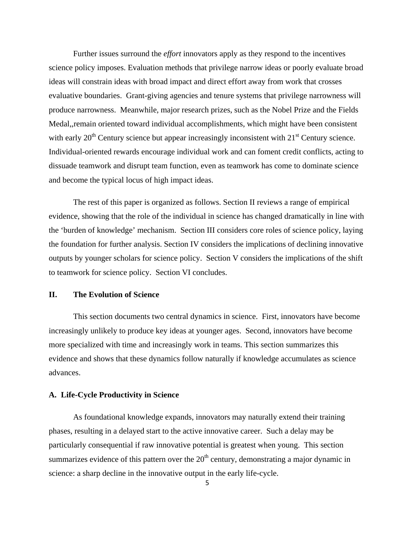Further issues surround the *effort* innovators apply as they respond to the incentives science policy imposes. Evaluation methods that privilege narrow ideas or poorly evaluate broad ideas will constrain ideas with broad impact and direct effort away from work that crosses evaluative boundaries. Grant-giving agencies and tenure systems that privilege narrowness will produce narrowness. Meanwhile, major research prizes, such as the Nobel Prize and the Fields Medal,,remain oriented toward individual accomplishments, which might have been consistent with early  $20<sup>th</sup>$  Century science but appear increasingly inconsistent with  $21<sup>st</sup>$  Century science. Individual-oriented rewards encourage individual work and can foment credit conflicts, acting to dissuade teamwork and disrupt team function, even as teamwork has come to dominate science and become the typical locus of high impact ideas.

The rest of this paper is organized as follows. Section II reviews a range of empirical evidence, showing that the role of the individual in science has changed dramatically in line with the 'burden of knowledge' mechanism. Section III considers core roles of science policy, laying the foundation for further analysis. Section IV considers the implications of declining innovative outputs by younger scholars for science policy. Section V considers the implications of the shift to teamwork for science policy. Section VI concludes.

# **II. The Evolution of Science**

This section documents two central dynamics in science. First, innovators have become increasingly unlikely to produce key ideas at younger ages. Second, innovators have become more specialized with time and increasingly work in teams. This section summarizes this evidence and shows that these dynamics follow naturally if knowledge accumulates as science advances.

## **A. Life-Cycle Productivity in Science**

As foundational knowledge expands, innovators may naturally extend their training phases, resulting in a delayed start to the active innovative career. Such a delay may be particularly consequential if raw innovative potential is greatest when young. This section summarizes evidence of this pattern over the  $20<sup>th</sup>$  century, demonstrating a major dynamic in science: a sharp decline in the innovative output in the early life-cycle.

<sup>5</sup>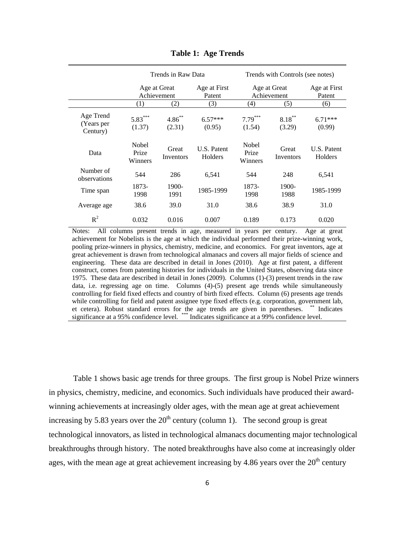|                                     | Trends in Raw Data               |                     |                               | Trends with Controls (see notes) |                     |                        |
|-------------------------------------|----------------------------------|---------------------|-------------------------------|----------------------------------|---------------------|------------------------|
|                                     | Age at Great<br>Achievement      |                     | Age at First<br>Patent        | Age at Great<br>Achievement      |                     | Age at First<br>Patent |
|                                     | $\left(1\right)$                 | (2)                 | (3)                           | (4)                              | (5)                 | (6)                    |
| Age Trend<br>(Years per<br>Century) | $5.83***$<br>(1.37)              | $4.86***$<br>(2.31) | $6.57***$<br>(0.95)           | $7.79***$<br>(1.54)              | $8.18***$<br>(3.29) | $6.71***$<br>(0.99)    |
| Data                                | <b>Nobel</b><br>Prize<br>Winners | Great<br>Inventors  | <b>U.S. Patent</b><br>Holders | <b>Nobel</b><br>Prize<br>Winners | Great<br>Inventors  | U.S. Patent<br>Holders |
| Number of<br>observations           | 544                              | 286                 | 6,541                         | 544                              | 248                 | 6,541                  |
| Time span                           | 1873-<br>1998                    | 1900-<br>1991       | 1985-1999                     | 1873-<br>1998                    | 1900-<br>1988       | 1985-1999              |
| Average age                         | 38.6                             | 39.0                | 31.0                          | 38.6                             | 38.9                | 31.0                   |
| $R^2$                               | 0.032                            | 0.016               | 0.007                         | 0.189                            | 0.173               | 0.020                  |

**Table 1: Age Trends** 

Notes: All columns present trends in age, measured in years per century. Age at great achievement for Nobelists is the age at which the individual performed their prize-winning work, pooling prize-winners in physics, chemistry, medicine, and economics. For great inventors, age at great achievement is drawn from technological almanacs and covers all major fields of science and engineering. These data are described in detail in Jones (2010). Age at first patent, a different construct, comes from patenting histories for individuals in the United States, observing data since 1975. These data are described in detail in Jones (2009). Columns (1)-(3) present trends in the raw data, i.e. regressing age on time. Columns (4)-(5) present age trends while simultaneously controlling for field fixed effects and country of birth fixed effects. Column (6) presents age trends while controlling for field and patent assignee type fixed effects (e.g. corporation, government lab, et cetera). Robust standard errors for the age trends are given in parentheses. \*\* Indicates significance at a 95% confidence level. \*\*\* Indicates significance at a 99% confidence level.

Table 1 shows basic age trends for three groups. The first group is Nobel Prize winners in physics, chemistry, medicine, and economics. Such individuals have produced their awardwinning achievements at increasingly older ages, with the mean age at great achievement increasing by 5.83 years over the  $20<sup>th</sup>$  century (column 1). The second group is great technological innovators, as listed in technological almanacs documenting major technological breakthroughs through history. The noted breakthroughs have also come at increasingly older ages, with the mean age at great achievement increasing by 4.86 years over the  $20<sup>th</sup>$  century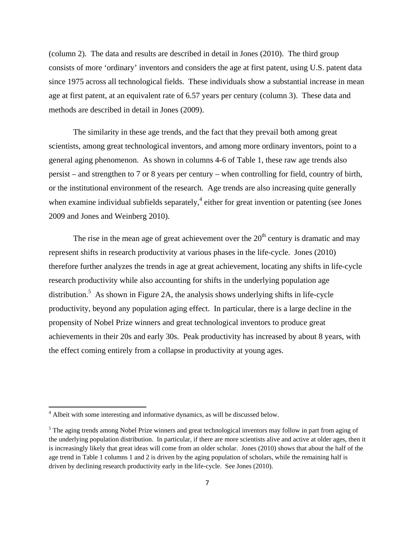(column 2). The data and results are described in detail in Jones (2010). The third group consists of more 'ordinary' inventors and considers the age at first patent, using U.S. patent data since 1975 across all technological fields. These individuals show a substantial increase in mean age at first patent, at an equivalent rate of 6.57 years per century (column 3). These data and methods are described in detail in Jones (2009).

The similarity in these age trends, and the fact that they prevail both among great scientists, among great technological inventors, and among more ordinary inventors, point to a general aging phenomenon. As shown in columns 4-6 of Table 1, these raw age trends also persist – and strengthen to 7 or 8 years per century – when controlling for field, country of birth, or the institutional environment of the research. Age trends are also increasing quite generally when examine individual subfields separately, $4$  either for great invention or patenting (see Jones 2009 and Jones and Weinberg 2010).

The rise in the mean age of great achievement over the  $20<sup>th</sup>$  century is dramatic and may represent shifts in research productivity at various phases in the life-cycle. Jones (2010) therefore further analyzes the trends in age at great achievement, locating any shifts in life-cycle research productivity while also accounting for shifts in the underlying population age distribution.<sup>5</sup> As shown in Figure 2A, the analysis shows underlying shifts in life-cycle productivity, beyond any population aging effect. In particular, there is a large decline in the propensity of Nobel Prize winners and great technological inventors to produce great achievements in their 20s and early 30s. Peak productivity has increased by about 8 years, with the effect coming entirely from a collapse in productivity at young ages.

<sup>&</sup>lt;sup>4</sup> Albeit with some interesting and informative dynamics, as will be discussed below.

<sup>&</sup>lt;sup>5</sup> The aging trends among Nobel Prize winners and great technological inventors may follow in part from aging of the underlying population distribution. In particular, if there are more scientists alive and active at older ages, then it is increasingly likely that great ideas will come from an older scholar. Jones (2010) shows that about the half of the age trend in Table 1 columns 1 and 2 is driven by the aging population of scholars, while the remaining half is driven by declining research productivity early in the life-cycle. See Jones (2010).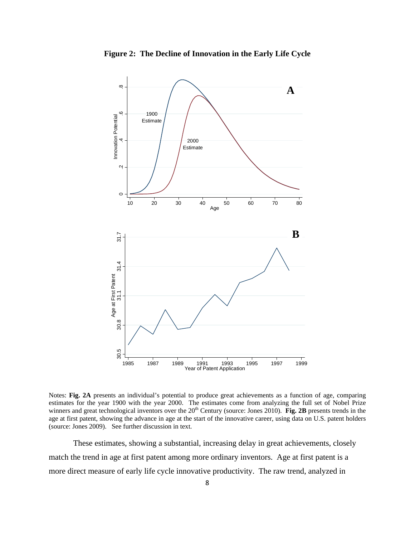

**Figure 2: The Decline of Innovation in the Early Life Cycle** 

Notes: **Fig. 2A** presents an individual's potential to produce great achievements as a function of age, comparing estimates for the year 1900 with the year 2000. The estimates come from analyzing the full set of Nobel Prize winners and great technological inventors over the 20<sup>th</sup> Century (source: Jones 2010). **Fig. 2B** presents trends in the age at first patent, showing the advance in age at the start of the innovative career, using data on U.S. patent holders (source: Jones 2009). See further discussion in text.

These estimates, showing a substantial, increasing delay in great achievements, closely match the trend in age at first patent among more ordinary inventors. Age at first patent is a more direct measure of early life cycle innovative productivity. The raw trend, analyzed in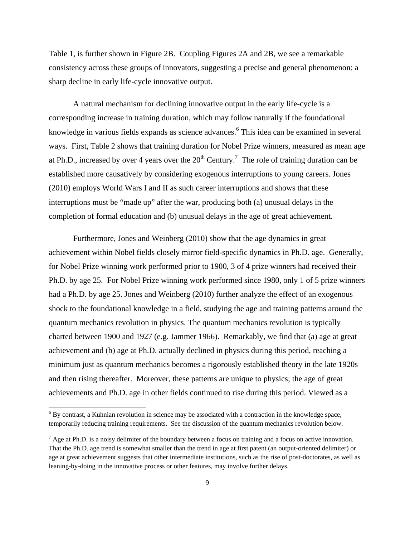Table 1, is further shown in Figure 2B. Coupling Figures 2A and 2B, we see a remarkable consistency across these groups of innovators, suggesting a precise and general phenomenon: a sharp decline in early life-cycle innovative output.

A natural mechanism for declining innovative output in the early life-cycle is a corresponding increase in training duration, which may follow naturally if the foundational knowledge in various fields expands as science advances.<sup>6</sup> This idea can be examined in several ways. First, Table 2 shows that training duration for Nobel Prize winners, measured as mean age at Ph.D., increased by over 4 years over the  $20^{th}$  Century.<sup>7</sup> The role of training duration can be established more causatively by considering exogenous interruptions to young careers. Jones (2010) employs World Wars I and II as such career interruptions and shows that these interruptions must be "made up" after the war, producing both (a) unusual delays in the completion of formal education and (b) unusual delays in the age of great achievement.

Furthermore, Jones and Weinberg (2010) show that the age dynamics in great achievement within Nobel fields closely mirror field-specific dynamics in Ph.D. age. Generally, for Nobel Prize winning work performed prior to 1900, 3 of 4 prize winners had received their Ph.D. by age 25. For Nobel Prize winning work performed since 1980, only 1 of 5 prize winners had a Ph.D. by age 25. Jones and Weinberg (2010) further analyze the effect of an exogenous shock to the foundational knowledge in a field, studying the age and training patterns around the quantum mechanics revolution in physics. The quantum mechanics revolution is typically charted between 1900 and 1927 (e.g. Jammer 1966). Remarkably, we find that (a) age at great achievement and (b) age at Ph.D. actually declined in physics during this period, reaching a minimum just as quantum mechanics becomes a rigorously established theory in the late 1920s and then rising thereafter. Moreover, these patterns are unique to physics; the age of great achievements and Ph.D. age in other fields continued to rise during this period. Viewed as a

 $6$  By contrast, a Kuhnian revolution in science may be associated with a contraction in the knowledge space, temporarily reducing training requirements. See the discussion of the quantum mechanics revolution below.

 $<sup>7</sup>$  Age at Ph.D. is a noisy delimiter of the boundary between a focus on training and a focus on active innovation.</sup> That the Ph.D. age trend is somewhat smaller than the trend in age at first patent (an output-oriented delimiter) or age at great achievement suggests that other intermediate institutions, such as the rise of post-doctorates, as well as leaning-by-doing in the innovative process or other features, may involve further delays.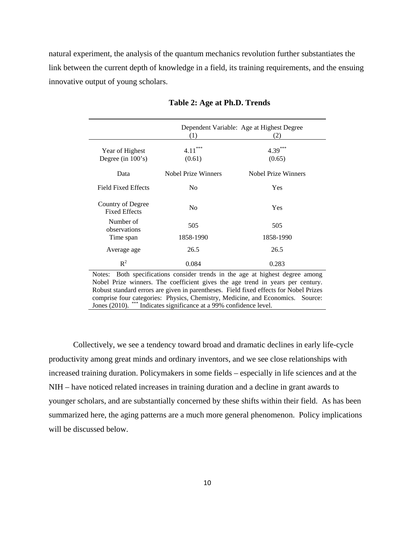natural experiment, the analysis of the quantum mechanics revolution further substantiates the link between the current depth of knowledge in a field, its training requirements, and the ensuing innovative output of young scholars.

|                                           | Dependent Variable: Age at Highest Degree |                     |  |
|-------------------------------------------|-------------------------------------------|---------------------|--|
|                                           | (1)                                       | (2)                 |  |
| Year of Highest<br>Degree (in $100$ 's)   | $***$<br>4.11<br>(0.61)                   | $4.39***$<br>(0.65) |  |
| Data                                      | Nobel Prize Winners                       | Nobel Prize Winners |  |
| Field Fixed Effects                       | N <sub>0</sub>                            | Yes                 |  |
| Country of Degree<br><b>Fixed Effects</b> | N <sub>0</sub>                            | Yes                 |  |
| Number of<br>observations                 | 505                                       | 505                 |  |
| Time span                                 | 1858-1990                                 | 1858-1990           |  |
| Average age                               | 26.5                                      | 26.5                |  |
| $R^2$                                     | 0.084                                     | 0.283               |  |

## **Table 2: Age at Ph.D. Trends**

Notes: Both specifications consider trends in the age at highest degree among Nobel Prize winners. The coefficient gives the age trend in years per century. Robust standard errors are given in parentheses. Field fixed effects for Nobel Prizes comprise four categories: Physics, Chemistry, Medicine, and Economics. Source: Jones (2010). \*\*\* Indicates significance at a 99% confidence level.

Collectively, we see a tendency toward broad and dramatic declines in early life-cycle productivity among great minds and ordinary inventors, and we see close relationships with increased training duration. Policymakers in some fields – especially in life sciences and at the NIH – have noticed related increases in training duration and a decline in grant awards to younger scholars, and are substantially concerned by these shifts within their field. As has been summarized here, the aging patterns are a much more general phenomenon. Policy implications will be discussed below.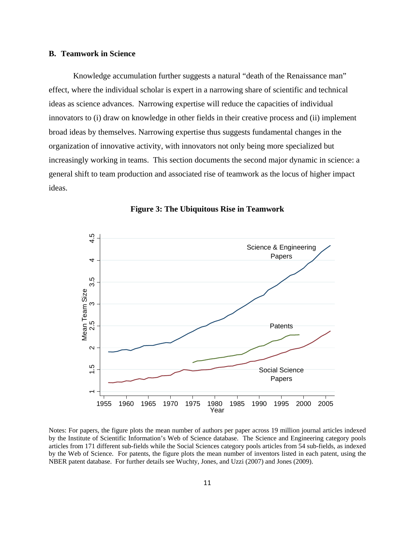## **B. Teamwork in Science**

Knowledge accumulation further suggests a natural "death of the Renaissance man" effect, where the individual scholar is expert in a narrowing share of scientific and technical ideas as science advances. Narrowing expertise will reduce the capacities of individual innovators to (i) draw on knowledge in other fields in their creative process and (ii) implement broad ideas by themselves. Narrowing expertise thus suggests fundamental changes in the organization of innovative activity, with innovators not only being more specialized but increasingly working in teams. This section documents the second major dynamic in science: a general shift to team production and associated rise of teamwork as the locus of higher impact ideas.



**Figure 3: The Ubiquitous Rise in Teamwork** 

Notes: For papers, the figure plots the mean number of authors per paper across 19 million journal articles indexed by the Institute of Scientific Information's Web of Science database. The Science and Engineering category pools articles from 171 different sub-fields while the Social Sciences category pools articles from 54 sub-fields, as indexed by the Web of Science. For patents, the figure plots the mean number of inventors listed in each patent, using the NBER patent database. For further details see Wuchty, Jones, and Uzzi (2007) and Jones (2009).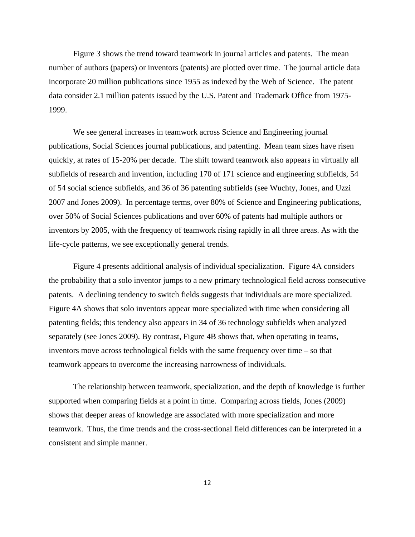Figure 3 shows the trend toward teamwork in journal articles and patents. The mean number of authors (papers) or inventors (patents) are plotted over time. The journal article data incorporate 20 million publications since 1955 as indexed by the Web of Science. The patent data consider 2.1 million patents issued by the U.S. Patent and Trademark Office from 1975- 1999.

We see general increases in teamwork across Science and Engineering journal publications, Social Sciences journal publications, and patenting. Mean team sizes have risen quickly, at rates of 15-20% per decade. The shift toward teamwork also appears in virtually all subfields of research and invention, including 170 of 171 science and engineering subfields, 54 of 54 social science subfields, and 36 of 36 patenting subfields (see Wuchty, Jones, and Uzzi 2007 and Jones 2009). In percentage terms, over 80% of Science and Engineering publications, over 50% of Social Sciences publications and over 60% of patents had multiple authors or inventors by 2005, with the frequency of teamwork rising rapidly in all three areas. As with the life-cycle patterns, we see exceptionally general trends.

Figure 4 presents additional analysis of individual specialization. Figure 4A considers the probability that a solo inventor jumps to a new primary technological field across consecutive patents. A declining tendency to switch fields suggests that individuals are more specialized. Figure 4A shows that solo inventors appear more specialized with time when considering all patenting fields; this tendency also appears in 34 of 36 technology subfields when analyzed separately (see Jones 2009). By contrast, Figure 4B shows that, when operating in teams, inventors move across technological fields with the same frequency over time – so that teamwork appears to overcome the increasing narrowness of individuals.

The relationship between teamwork, specialization, and the depth of knowledge is further supported when comparing fields at a point in time. Comparing across fields, Jones (2009) shows that deeper areas of knowledge are associated with more specialization and more teamwork. Thus, the time trends and the cross-sectional field differences can be interpreted in a consistent and simple manner.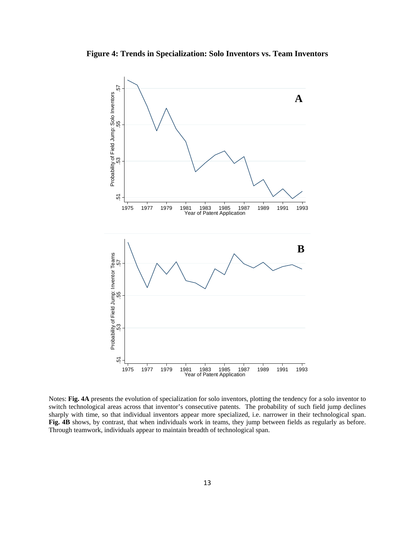**Figure 4: Trends in Specialization: Solo Inventors vs. Team Inventors**



Notes: **Fig. 4A** presents the evolution of specialization for solo inventors, plotting the tendency for a solo inventor to switch technological areas across that inventor's consecutive patents. The probability of such field jump declines sharply with time, so that individual inventors appear more specialized, i.e. narrower in their technological span. **Fig. 4B** shows, by contrast, that when individuals work in teams, they jump between fields as regularly as before. Through teamwork, individuals appear to maintain breadth of technological span.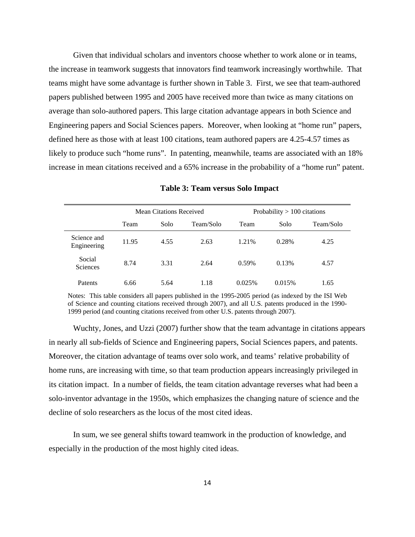Given that individual scholars and inventors choose whether to work alone or in teams, the increase in teamwork suggests that innovators find teamwork increasingly worthwhile. That teams might have some advantage is further shown in Table 3. First, we see that team-authored papers published between 1995 and 2005 have received more than twice as many citations on average than solo-authored papers. This large citation advantage appears in both Science and Engineering papers and Social Sciences papers. Moreover, when looking at "home run" papers, defined here as those with at least 100 citations, team authored papers are 4.25-4.57 times as likely to produce such "home runs". In patenting, meanwhile, teams are associated with an 18% increase in mean citations received and a 65% increase in the probability of a "home run" patent.

|                            |       | <b>Mean Citations Received</b> |           | Probability $> 100$ citations |        |           |
|----------------------------|-------|--------------------------------|-----------|-------------------------------|--------|-----------|
|                            | Team  | Solo                           | Team/Solo | Team                          | Solo   | Team/Solo |
| Science and<br>Engineering | 11.95 | 4.55                           | 2.63      | 1.21%                         | 0.28%  | 4.25      |
| Social<br><b>Sciences</b>  | 8.74  | 3.31                           | 2.64      | 0.59%                         | 0.13%  | 4.57      |
| Patents                    | 6.66  | 5.64                           | 1.18      | 0.025%                        | 0.015% | 1.65      |

| Table 3: Team versus Solo Impact |  |  |  |  |
|----------------------------------|--|--|--|--|
|----------------------------------|--|--|--|--|

Notes: This table considers all papers published in the 1995-2005 period (as indexed by the ISI Web of Science and counting citations received through 2007), and all U.S. patents produced in the 1990- 1999 period (and counting citations received from other U.S. patents through 2007).

 Wuchty, Jones, and Uzzi (2007) further show that the team advantage in citations appears in nearly all sub-fields of Science and Engineering papers, Social Sciences papers, and patents. Moreover, the citation advantage of teams over solo work, and teams' relative probability of home runs, are increasing with time, so that team production appears increasingly privileged in its citation impact. In a number of fields, the team citation advantage reverses what had been a solo-inventor advantage in the 1950s, which emphasizes the changing nature of science and the decline of solo researchers as the locus of the most cited ideas.

In sum, we see general shifts toward teamwork in the production of knowledge, and especially in the production of the most highly cited ideas.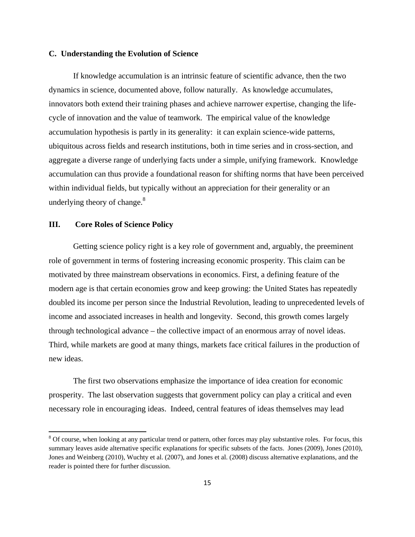# **C. Understanding the Evolution of Science**

If knowledge accumulation is an intrinsic feature of scientific advance, then the two dynamics in science, documented above, follow naturally. As knowledge accumulates, innovators both extend their training phases and achieve narrower expertise, changing the lifecycle of innovation and the value of teamwork. The empirical value of the knowledge accumulation hypothesis is partly in its generality: it can explain science-wide patterns, ubiquitous across fields and research institutions, both in time series and in cross-section, and aggregate a diverse range of underlying facts under a simple, unifying framework. Knowledge accumulation can thus provide a foundational reason for shifting norms that have been perceived within individual fields, but typically without an appreciation for their generality or an underlying theory of change. $8$ 

### **III. Core Roles of Science Policy**

Getting science policy right is a key role of government and, arguably, the preeminent role of government in terms of fostering increasing economic prosperity. This claim can be motivated by three mainstream observations in economics. First, a defining feature of the modern age is that certain economies grow and keep growing: the United States has repeatedly doubled its income per person since the Industrial Revolution, leading to unprecedented levels of income and associated increases in health and longevity. Second, this growth comes largely through technological advance – the collective impact of an enormous array of novel ideas. Third, while markets are good at many things, markets face critical failures in the production of new ideas.

The first two observations emphasize the importance of idea creation for economic prosperity. The last observation suggests that government policy can play a critical and even necessary role in encouraging ideas. Indeed, central features of ideas themselves may lead

<sup>&</sup>lt;sup>8</sup> Of course, when looking at any particular trend or pattern, other forces may play substantive roles. For focus, this summary leaves aside alternative specific explanations for specific subsets of the facts. Jones (2009), Jones (2010), Jones and Weinberg (2010), Wuchty et al. (2007), and Jones et al. (2008) discuss alternative explanations, and the reader is pointed there for further discussion.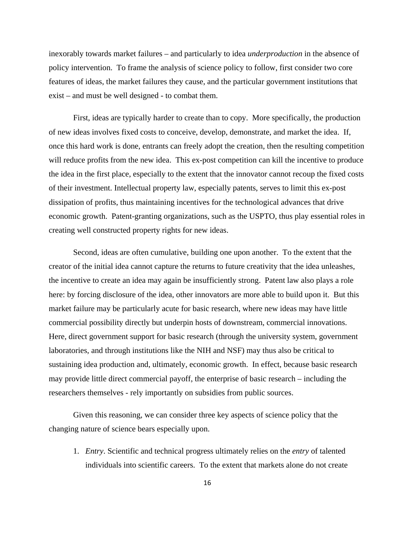inexorably towards market failures – and particularly to idea *underproduction* in the absence of policy intervention. To frame the analysis of science policy to follow, first consider two core features of ideas, the market failures they cause, and the particular government institutions that exist – and must be well designed - to combat them.

First, ideas are typically harder to create than to copy. More specifically, the production of new ideas involves fixed costs to conceive, develop, demonstrate, and market the idea. If, once this hard work is done, entrants can freely adopt the creation, then the resulting competition will reduce profits from the new idea. This ex-post competition can kill the incentive to produce the idea in the first place, especially to the extent that the innovator cannot recoup the fixed costs of their investment. Intellectual property law, especially patents, serves to limit this ex-post dissipation of profits, thus maintaining incentives for the technological advances that drive economic growth. Patent-granting organizations, such as the USPTO, thus play essential roles in creating well constructed property rights for new ideas.

Second, ideas are often cumulative, building one upon another. To the extent that the creator of the initial idea cannot capture the returns to future creativity that the idea unleashes, the incentive to create an idea may again be insufficiently strong. Patent law also plays a role here: by forcing disclosure of the idea, other innovators are more able to build upon it. But this market failure may be particularly acute for basic research, where new ideas may have little commercial possibility directly but underpin hosts of downstream, commercial innovations. Here, direct government support for basic research (through the university system, government laboratories, and through institutions like the NIH and NSF) may thus also be critical to sustaining idea production and, ultimately, economic growth. In effect, because basic research may provide little direct commercial payoff, the enterprise of basic research – including the researchers themselves - rely importantly on subsidies from public sources.

Given this reasoning, we can consider three key aspects of science policy that the changing nature of science bears especially upon.

1. *Entry*. Scientific and technical progress ultimately relies on the *entry* of talented individuals into scientific careers. To the extent that markets alone do not create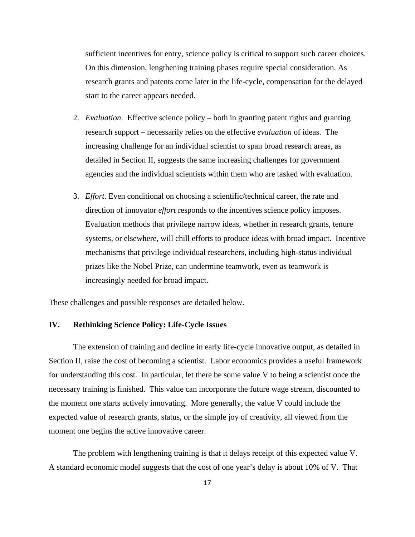sufficient incentives for entry, science policy is critical to support such career choices. On this dimension, lengthening training phases require special consideration. As research grants and patents come later in the life-cycle, compensation for the delayed start to the career appears needed.

- 2. *Evaluation*. Effective science policy both in granting patent rights and granting research support – necessarily relies on the effective *evaluation* of ideas. The increasing challenge for an individual scientist to span broad research areas, as detailed in Section II, suggests the same increasing challenges for government agencies and the individual scientists within them who are tasked with evaluation.
- 3. *Effort*. Even conditional on choosing a scientific/technical career, the rate and direction of innovator *effort* responds to the incentives science policy imposes. Evaluation methods that privilege narrow ideas, whether in research grants, tenure systems, or elsewhere, will chill efforts to produce ideas with broad impact. Incentive mechanisms that privilege individual researchers, including high-status individual prizes like the Nobel Prize, can undermine teamwork, even as teamwork is increasingly needed for broad impact.

These challenges and possible responses are detailed below.

# **IV. Rethinking Science Policy: Life-Cycle Issues**

The extension of training and decline in early life-cycle innovative output, as detailed in Section II, raise the cost of becoming a scientist. Labor economics provides a useful framework for understanding this cost. In particular, let there be some value V to being a scientist once the necessary training is finished. This value can incorporate the future wage stream, discounted to the moment one starts actively innovating. More generally, the value V could include the expected value of research grants, status, or the simple joy of creativity, all viewed from the moment one begins the active innovative career.

The problem with lengthening training is that it delays receipt of this expected value V. A standard economic model suggests that the cost of one year's delay is about 10% of V. That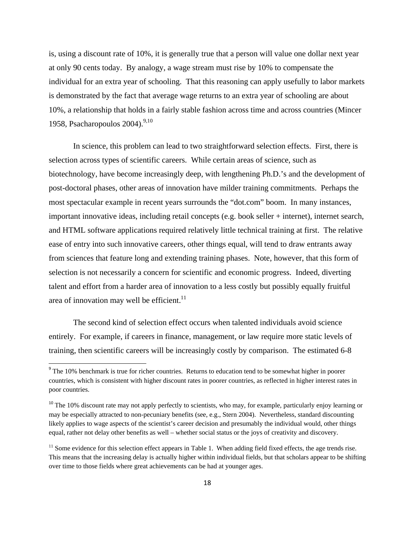is, using a discount rate of 10%, it is generally true that a person will value one dollar next year at only 90 cents today. By analogy, a wage stream must rise by 10% to compensate the individual for an extra year of schooling. That this reasoning can apply usefully to labor markets is demonstrated by the fact that average wage returns to an extra year of schooling are about 10%, a relationship that holds in a fairly stable fashion across time and across countries (Mincer 1958, Psacharopoulos  $2004$ ).<sup>9,10</sup>

In science, this problem can lead to two straightforward selection effects. First, there is selection across types of scientific careers. While certain areas of science, such as biotechnology, have become increasingly deep, with lengthening Ph.D.'s and the development of post-doctoral phases, other areas of innovation have milder training commitments. Perhaps the most spectacular example in recent years surrounds the "dot.com" boom. In many instances, important innovative ideas, including retail concepts (e.g. book seller + internet), internet search, and HTML software applications required relatively little technical training at first. The relative ease of entry into such innovative careers, other things equal, will tend to draw entrants away from sciences that feature long and extending training phases. Note, however, that this form of selection is not necessarily a concern for scientific and economic progress. Indeed, diverting talent and effort from a harder area of innovation to a less costly but possibly equally fruitful area of innovation may well be efficient. $11$ 

The second kind of selection effect occurs when talented individuals avoid science entirely. For example, if careers in finance, management, or law require more static levels of training, then scientific careers will be increasingly costly by comparison. The estimated 6-8

<sup>&</sup>lt;sup>9</sup> The 10% benchmark is true for richer countries. Returns to education tend to be somewhat higher in poorer countries, which is consistent with higher discount rates in poorer countries, as reflected in higher interest rates in poor countries.

<sup>&</sup>lt;sup>10</sup> The 10% discount rate may not apply perfectly to scientists, who may, for example, particularly enjoy learning or may be especially attracted to non-pecuniary benefits (see, e.g., Stern 2004). Nevertheless, standard discounting likely applies to wage aspects of the scientist's career decision and presumably the individual would, other things equal, rather not delay other benefits as well – whether social status or the joys of creativity and discovery.

 $11$  Some evidence for this selection effect appears in Table 1. When adding field fixed effects, the age trends rise. This means that the increasing delay is actually higher within individual fields, but that scholars appear to be shifting over time to those fields where great achievements can be had at younger ages.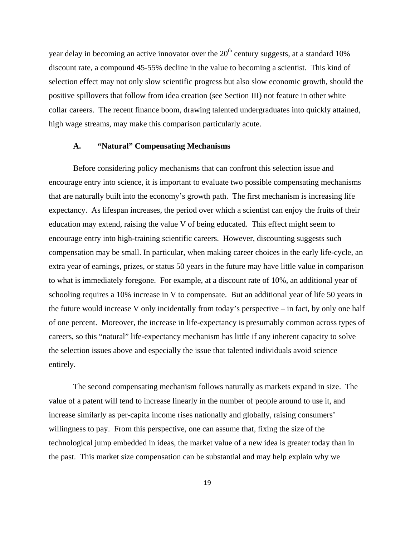year delay in becoming an active innovator over the  $20<sup>th</sup>$  century suggests, at a standard 10% discount rate, a compound 45-55% decline in the value to becoming a scientist. This kind of selection effect may not only slow scientific progress but also slow economic growth, should the positive spillovers that follow from idea creation (see Section III) not feature in other white collar careers. The recent finance boom, drawing talented undergraduates into quickly attained, high wage streams, may make this comparison particularly acute.

# **A. "Natural" Compensating Mechanisms**

Before considering policy mechanisms that can confront this selection issue and encourage entry into science, it is important to evaluate two possible compensating mechanisms that are naturally built into the economy's growth path. The first mechanism is increasing life expectancy. As lifespan increases, the period over which a scientist can enjoy the fruits of their education may extend, raising the value V of being educated. This effect might seem to encourage entry into high-training scientific careers. However, discounting suggests such compensation may be small. In particular, when making career choices in the early life-cycle, an extra year of earnings, prizes, or status 50 years in the future may have little value in comparison to what is immediately foregone. For example, at a discount rate of 10%, an additional year of schooling requires a 10% increase in V to compensate. But an additional year of life 50 years in the future would increase V only incidentally from today's perspective – in fact, by only one half of one percent. Moreover, the increase in life-expectancy is presumably common across types of careers, so this "natural" life-expectancy mechanism has little if any inherent capacity to solve the selection issues above and especially the issue that talented individuals avoid science entirely.

The second compensating mechanism follows naturally as markets expand in size. The value of a patent will tend to increase linearly in the number of people around to use it, and increase similarly as per-capita income rises nationally and globally, raising consumers' willingness to pay. From this perspective, one can assume that, fixing the size of the technological jump embedded in ideas, the market value of a new idea is greater today than in the past. This market size compensation can be substantial and may help explain why we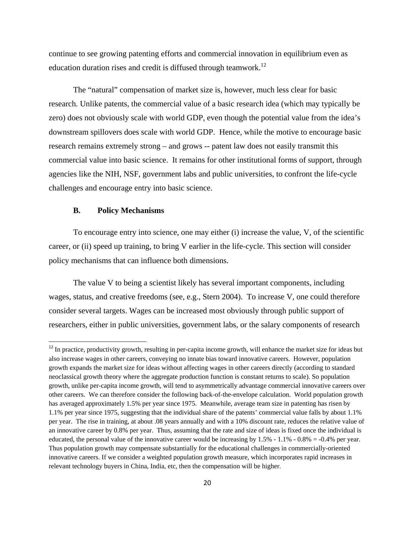continue to see growing patenting efforts and commercial innovation in equilibrium even as education duration rises and credit is diffused through teamwork.<sup>12</sup>

The "natural" compensation of market size is, however, much less clear for basic research. Unlike patents, the commercial value of a basic research idea (which may typically be zero) does not obviously scale with world GDP, even though the potential value from the idea's downstream spillovers does scale with world GDP. Hence, while the motive to encourage basic research remains extremely strong – and grows -- patent law does not easily transmit this commercial value into basic science. It remains for other institutional forms of support, through agencies like the NIH, NSF, government labs and public universities, to confront the life-cycle challenges and encourage entry into basic science.

#### **B. Policy Mechanisms**

To encourage entry into science, one may either (i) increase the value, V, of the scientific career, or (ii) speed up training, to bring V earlier in the life-cycle. This section will consider policy mechanisms that can influence both dimensions.

The value V to being a scientist likely has several important components, including wages, status, and creative freedoms (see, e.g., Stern 2004). To increase V, one could therefore consider several targets. Wages can be increased most obviously through public support of researchers, either in public universities, government labs, or the salary components of research

 $12$  In practice, productivity growth, resulting in per-capita income growth, will enhance the market size for ideas but also increase wages in other careers, conveying no innate bias toward innovative careers. However, population growth expands the market size for ideas without affecting wages in other careers directly (according to standard neoclassical growth theory where the aggregate production function is constant returns to scale). So population growth, unlike per-capita income growth, will tend to asymmetrically advantage commercial innovative careers over other careers. We can therefore consider the following back-of-the-envelope calculation. World population growth has averaged approximately 1.5% per year since 1975. Meanwhile, average team size in patenting has risen by 1.1% per year since 1975, suggesting that the individual share of the patents' commercial value falls by about 1.1% per year. The rise in training, at about .08 years annually and with a 10% discount rate, reduces the relative value of an innovative career by 0.8% per year. Thus, assuming that the rate and size of ideas is fixed once the individual is educated, the personal value of the innovative career would be increasing by  $1.5% - 1.1% - 0.8% = -0.4%$  per year. Thus population growth may compensate substantially for the educational challenges in commercially-oriented innovative careers. If we consider a weighted population growth measure, which incorporates rapid increases in relevant technology buyers in China, India, etc, then the compensation will be higher.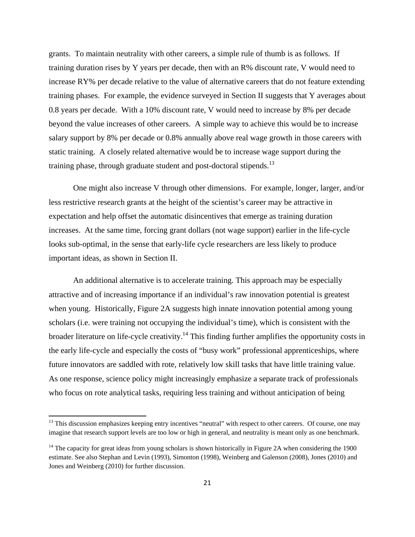grants. To maintain neutrality with other careers, a simple rule of thumb is as follows. If training duration rises by Y years per decade, then with an R% discount rate, V would need to increase RY% per decade relative to the value of alternative careers that do not feature extending training phases. For example, the evidence surveyed in Section II suggests that Y averages about 0.8 years per decade. With a 10% discount rate, V would need to increase by 8% per decade beyond the value increases of other careers. A simple way to achieve this would be to increase salary support by 8% per decade or 0.8% annually above real wage growth in those careers with static training. A closely related alternative would be to increase wage support during the training phase, through graduate student and post-doctoral stipends.<sup>13</sup>

One might also increase V through other dimensions. For example, longer, larger, and/or less restrictive research grants at the height of the scientist's career may be attractive in expectation and help offset the automatic disincentives that emerge as training duration increases. At the same time, forcing grant dollars (not wage support) earlier in the life-cycle looks sub-optimal, in the sense that early-life cycle researchers are less likely to produce important ideas, as shown in Section II.

An additional alternative is to accelerate training. This approach may be especially attractive and of increasing importance if an individual's raw innovation potential is greatest when young. Historically, Figure 2A suggests high innate innovation potential among young scholars (i.e. were training not occupying the individual's time), which is consistent with the broader literature on life-cycle creativity.<sup>14</sup> This finding further amplifies the opportunity costs in the early life-cycle and especially the costs of "busy work" professional apprenticeships, where future innovators are saddled with rote, relatively low skill tasks that have little training value. As one response, science policy might increasingly emphasize a separate track of professionals who focus on rote analytical tasks, requiring less training and without anticipation of being

<sup>&</sup>lt;sup>13</sup> This discussion emphasizes keeping entry incentives "neutral" with respect to other careers. Of course, one may imagine that research support levels are too low or high in general, and neutrality is meant only as one benchmark.

 $14$  The capacity for great ideas from young scholars is shown historically in Figure 2A when considering the 1900 estimate. See also Stephan and Levin (1993), Simonton (1998), Weinberg and Galenson (2008), Jones (2010) and Jones and Weinberg (2010) for further discussion.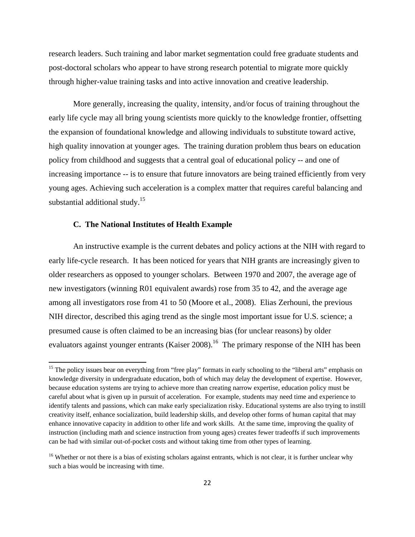research leaders. Such training and labor market segmentation could free graduate students and post-doctoral scholars who appear to have strong research potential to migrate more quickly through higher-value training tasks and into active innovation and creative leadership.

More generally, increasing the quality, intensity, and/or focus of training throughout the early life cycle may all bring young scientists more quickly to the knowledge frontier, offsetting the expansion of foundational knowledge and allowing individuals to substitute toward active, high quality innovation at younger ages. The training duration problem thus bears on education policy from childhood and suggests that a central goal of educational policy -- and one of increasing importance -- is to ensure that future innovators are being trained efficiently from very young ages. Achieving such acceleration is a complex matter that requires careful balancing and substantial additional study.<sup>15</sup>

## **C. The National Institutes of Health Example**

 An instructive example is the current debates and policy actions at the NIH with regard to early life-cycle research. It has been noticed for years that NIH grants are increasingly given to older researchers as opposed to younger scholars. Between 1970 and 2007, the average age of new investigators (winning R01 equivalent awards) rose from 35 to 42, and the average age among all investigators rose from 41 to 50 (Moore et al., 2008). Elias Zerhouni, the previous NIH director, described this aging trend as the single most important issue for U.S. science; a presumed cause is often claimed to be an increasing bias (for unclear reasons) by older evaluators against younger entrants (Kaiser 2008).<sup>16</sup> The primary response of the NIH has been

<sup>&</sup>lt;sup>15</sup> The policy issues bear on everything from "free play" formats in early schooling to the "liberal arts" emphasis on knowledge diversity in undergraduate education, both of which may delay the development of expertise. However, because education systems are trying to achieve more than creating narrow expertise, education policy must be careful about what is given up in pursuit of acceleration. For example, students may need time and experience to identify talents and passions, which can make early specialization risky. Educational systems are also trying to instill creativity itself, enhance socialization, build leadership skills, and develop other forms of human capital that may enhance innovative capacity in addition to other life and work skills. At the same time, improving the quality of instruction (including math and science instruction from young ages) creates fewer tradeoffs if such improvements can be had with similar out-of-pocket costs and without taking time from other types of learning.

<sup>&</sup>lt;sup>16</sup> Whether or not there is a bias of existing scholars against entrants, which is not clear, it is further unclear why such a bias would be increasing with time.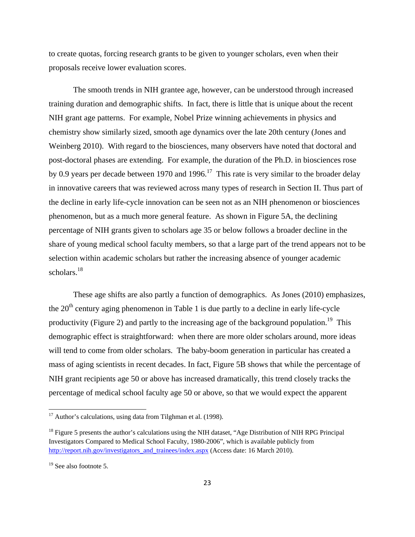to create quotas, forcing research grants to be given to younger scholars, even when their proposals receive lower evaluation scores.

The smooth trends in NIH grantee age, however, can be understood through increased training duration and demographic shifts. In fact, there is little that is unique about the recent NIH grant age patterns. For example, Nobel Prize winning achievements in physics and chemistry show similarly sized, smooth age dynamics over the late 20th century (Jones and Weinberg 2010). With regard to the biosciences, many observers have noted that doctoral and post-doctoral phases are extending. For example, the duration of the Ph.D. in biosciences rose by 0.9 years per decade between 1970 and 1996.<sup>17</sup> This rate is very similar to the broader delay in innovative careers that was reviewed across many types of research in Section II. Thus part of the decline in early life-cycle innovation can be seen not as an NIH phenomenon or biosciences phenomenon, but as a much more general feature. As shown in Figure 5A, the declining percentage of NIH grants given to scholars age 35 or below follows a broader decline in the share of young medical school faculty members, so that a large part of the trend appears not to be selection within academic scholars but rather the increasing absence of younger academic scholars. $18$ 

 These age shifts are also partly a function of demographics. As Jones (2010) emphasizes, the  $20<sup>th</sup>$  century aging phenomenon in Table 1 is due partly to a decline in early life-cycle productivity (Figure 2) and partly to the increasing age of the background population.<sup>19</sup> This demographic effect is straightforward: when there are more older scholars around, more ideas will tend to come from older scholars. The baby-boom generation in particular has created a mass of aging scientists in recent decades. In fact, Figure 5B shows that while the percentage of NIH grant recipients age 50 or above has increased dramatically, this trend closely tracks the percentage of medical school faculty age 50 or above, so that we would expect the apparent

 $17$  Author's calculations, using data from Tilghman et al. (1998).

<sup>&</sup>lt;sup>18</sup> Figure 5 presents the author's calculations using the NIH dataset, "Age Distribution of NIH RPG Principal Investigators Compared to Medical School Faculty, 1980-2006", which is available publicly from http://report.nih.gov/investigators\_and\_trainees/index.aspx (Access date: 16 March 2010).

<sup>&</sup>lt;sup>19</sup> See also footnote 5.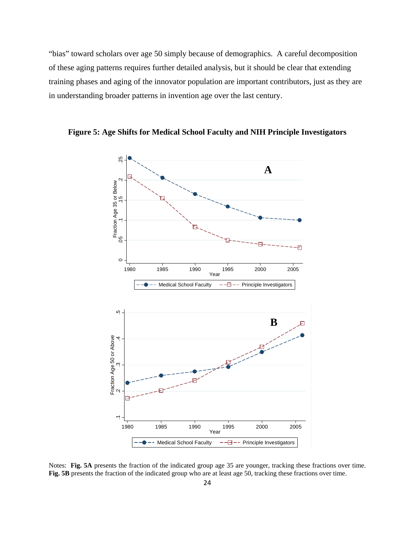"bias" toward scholars over age 50 simply because of demographics. A careful decomposition of these aging patterns requires further detailed analysis, but it should be clear that extending training phases and aging of the innovator population are important contributors, just as they are in understanding broader patterns in invention age over the last century.



**Figure 5: Age Shifts for Medical School Faculty and NIH Principle Investigators** 

Notes: **Fig. 5A** presents the fraction of the indicated group age 35 are younger, tracking these fractions over time. **Fig. 5B** presents the fraction of the indicated group who are at least age 50, tracking these fractions over time.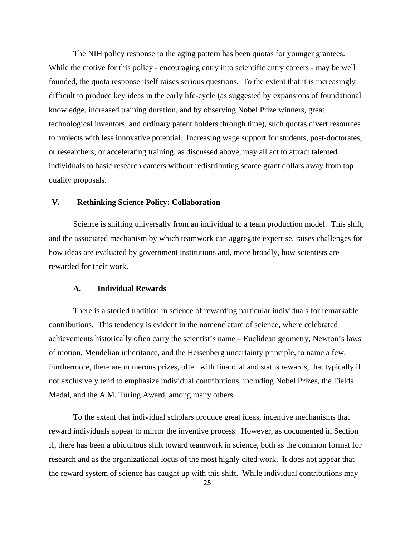The NIH policy response to the aging pattern has been quotas for younger grantees. While the motive for this policy - encouraging entry into scientific entry careers - may be well founded, the quota response itself raises serious questions. To the extent that it is increasingly difficult to produce key ideas in the early life-cycle (as suggested by expansions of foundational knowledge, increased training duration, and by observing Nobel Prize winners, great technological inventors, and ordinary patent holders through time), such quotas divert resources to projects with less innovative potential. Increasing wage support for students, post-doctorates, or researchers, or accelerating training, as discussed above, may all act to attract talented individuals to basic research careers without redistributing scarce grant dollars away from top quality proposals.

#### **V. Rethinking Science Policy: Collaboration**

Science is shifting universally from an individual to a team production model. This shift, and the associated mechanism by which teamwork can aggregate expertise, raises challenges for how ideas are evaluated by government institutions and, more broadly, how scientists are rewarded for their work.

## **A. Individual Rewards**

There is a storied tradition in science of rewarding particular individuals for remarkable contributions. This tendency is evident in the nomenclature of science, where celebrated achievements historically often carry the scientist's name – Euclidean geometry, Newton's laws of motion, Mendelian inheritance, and the Heisenberg uncertainty principle, to name a few. Furthermore, there are numerous prizes, often with financial and status rewards, that typically if not exclusively tend to emphasize individual contributions, including Nobel Prizes, the Fields Medal, and the A.M. Turing Award, among many others.

To the extent that individual scholars produce great ideas, incentive mechanisms that reward individuals appear to mirror the inventive process. However, as documented in Section II, there has been a ubiquitous shift toward teamwork in science, both as the common format for research and as the organizational locus of the most highly cited work. It does not appear that the reward system of science has caught up with this shift. While individual contributions may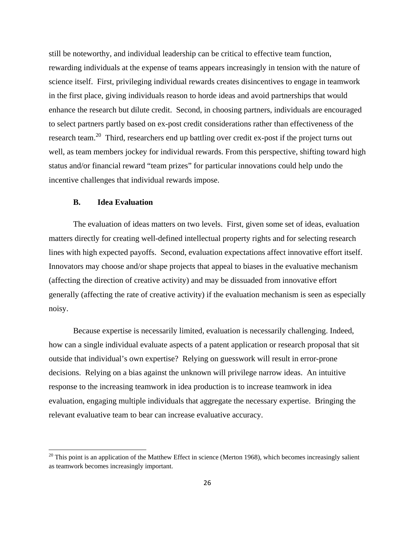still be noteworthy, and individual leadership can be critical to effective team function, rewarding individuals at the expense of teams appears increasingly in tension with the nature of science itself. First, privileging individual rewards creates disincentives to engage in teamwork in the first place, giving individuals reason to horde ideas and avoid partnerships that would enhance the research but dilute credit. Second, in choosing partners, individuals are encouraged to select partners partly based on ex-post credit considerations rather than effectiveness of the research team.<sup>20</sup> Third, researchers end up battling over credit ex-post if the project turns out well, as team members jockey for individual rewards. From this perspective, shifting toward high status and/or financial reward "team prizes" for particular innovations could help undo the incentive challenges that individual rewards impose.

#### **B. Idea Evaluation**

The evaluation of ideas matters on two levels. First, given some set of ideas, evaluation matters directly for creating well-defined intellectual property rights and for selecting research lines with high expected payoffs. Second, evaluation expectations affect innovative effort itself. Innovators may choose and/or shape projects that appeal to biases in the evaluative mechanism (affecting the direction of creative activity) and may be dissuaded from innovative effort generally (affecting the rate of creative activity) if the evaluation mechanism is seen as especially noisy.

Because expertise is necessarily limited, evaluation is necessarily challenging. Indeed, how can a single individual evaluate aspects of a patent application or research proposal that sit outside that individual's own expertise? Relying on guesswork will result in error-prone decisions. Relying on a bias against the unknown will privilege narrow ideas. An intuitive response to the increasing teamwork in idea production is to increase teamwork in idea evaluation, engaging multiple individuals that aggregate the necessary expertise. Bringing the relevant evaluative team to bear can increase evaluative accuracy.

 $20$  This point is an application of the Matthew Effect in science (Merton 1968), which becomes increasingly salient as teamwork becomes increasingly important.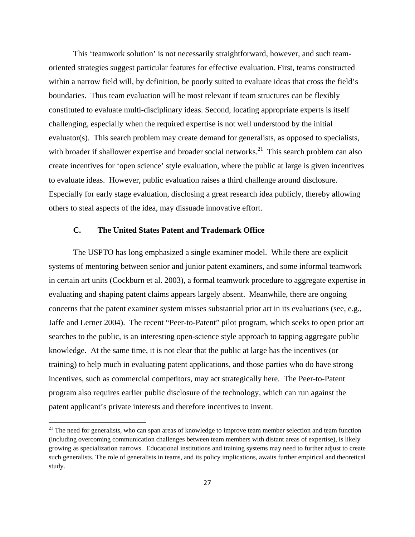This 'teamwork solution' is not necessarily straightforward, however, and such teamoriented strategies suggest particular features for effective evaluation. First, teams constructed within a narrow field will, by definition, be poorly suited to evaluate ideas that cross the field's boundaries. Thus team evaluation will be most relevant if team structures can be flexibly constituted to evaluate multi-disciplinary ideas. Second, locating appropriate experts is itself challenging, especially when the required expertise is not well understood by the initial evaluator(s). This search problem may create demand for generalists, as opposed to specialists, with broader if shallower expertise and broader social networks.<sup>21</sup> This search problem can also create incentives for 'open science' style evaluation, where the public at large is given incentives to evaluate ideas. However, public evaluation raises a third challenge around disclosure. Especially for early stage evaluation, disclosing a great research idea publicly, thereby allowing others to steal aspects of the idea, may dissuade innovative effort.

## **C. The United States Patent and Trademark Office**

The USPTO has long emphasized a single examiner model. While there are explicit systems of mentoring between senior and junior patent examiners, and some informal teamwork in certain art units (Cockburn et al. 2003), a formal teamwork procedure to aggregate expertise in evaluating and shaping patent claims appears largely absent. Meanwhile, there are ongoing concerns that the patent examiner system misses substantial prior art in its evaluations (see, e.g., Jaffe and Lerner 2004). The recent "Peer-to-Patent" pilot program, which seeks to open prior art searches to the public, is an interesting open-science style approach to tapping aggregate public knowledge. At the same time, it is not clear that the public at large has the incentives (or training) to help much in evaluating patent applications, and those parties who do have strong incentives, such as commercial competitors, may act strategically here. The Peer-to-Patent program also requires earlier public disclosure of the technology, which can run against the patent applicant's private interests and therefore incentives to invent.

 $21$  The need for generalists, who can span areas of knowledge to improve team member selection and team function (including overcoming communication challenges between team members with distant areas of expertise), is likely growing as specialization narrows. Educational institutions and training systems may need to further adjust to create such generalists. The role of generalists in teams, and its policy implications, awaits further empirical and theoretical study.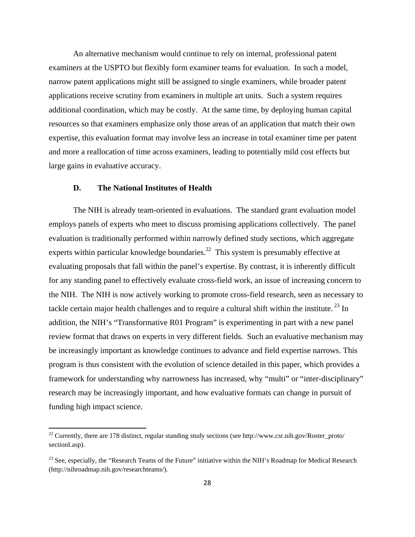An alternative mechanism would continue to rely on internal, professional patent examiners at the USPTO but flexibly form examiner teams for evaluation. In such a model, narrow patent applications might still be assigned to single examiners, while broader patent applications receive scrutiny from examiners in multiple art units. Such a system requires additional coordination, which may be costly. At the same time, by deploying human capital resources so that examiners emphasize only those areas of an application that match their own expertise, this evaluation format may involve less an increase in total examiner time per patent and more a reallocation of time across examiners, leading to potentially mild cost effects but large gains in evaluative accuracy.

## **D. The National Institutes of Health**

The NIH is already team-oriented in evaluations. The standard grant evaluation model employs panels of experts who meet to discuss promising applications collectively. The panel evaluation is traditionally performed within narrowly defined study sections, which aggregate experts within particular knowledge boundaries.<sup>22</sup> This system is presumably effective at evaluating proposals that fall within the panel's expertise. By contrast, it is inherently difficult for any standing panel to effectively evaluate cross-field work, an issue of increasing concern to the NIH. The NIH is now actively working to promote cross-field research, seen as necessary to tackle certain major health challenges and to require a cultural shift within the institute.<sup>23</sup> In addition, the NIH's "Transformative R01 Program" is experimenting in part with a new panel review format that draws on experts in very different fields. Such an evaluative mechanism may be increasingly important as knowledge continues to advance and field expertise narrows. This program is thus consistent with the evolution of science detailed in this paper, which provides a framework for understanding why narrowness has increased, why "multi" or "inter-disciplinary" research may be increasingly important, and how evaluative formats can change in pursuit of funding high impact science.

 $^{22}$  Currently, there are 178 distinct, regular standing study sections (see http://www.csr.nih.gov/Roster\_proto/ sectionI.asp).

 $^{23}$  See, especially, the "Research Teams of the Future" initiative within the NIH's Roadmap for Medical Research (http://nihroadmap.nih.gov/researchteams/).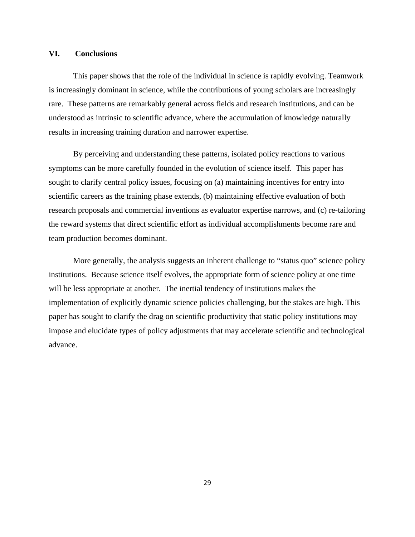# **VI. Conclusions**

This paper shows that the role of the individual in science is rapidly evolving. Teamwork is increasingly dominant in science, while the contributions of young scholars are increasingly rare. These patterns are remarkably general across fields and research institutions, and can be understood as intrinsic to scientific advance, where the accumulation of knowledge naturally results in increasing training duration and narrower expertise.

By perceiving and understanding these patterns, isolated policy reactions to various symptoms can be more carefully founded in the evolution of science itself. This paper has sought to clarify central policy issues, focusing on (a) maintaining incentives for entry into scientific careers as the training phase extends, (b) maintaining effective evaluation of both research proposals and commercial inventions as evaluator expertise narrows, and (c) re-tailoring the reward systems that direct scientific effort as individual accomplishments become rare and team production becomes dominant.

More generally, the analysis suggests an inherent challenge to "status quo" science policy institutions. Because science itself evolves, the appropriate form of science policy at one time will be less appropriate at another. The inertial tendency of institutions makes the implementation of explicitly dynamic science policies challenging, but the stakes are high. This paper has sought to clarify the drag on scientific productivity that static policy institutions may impose and elucidate types of policy adjustments that may accelerate scientific and technological advance.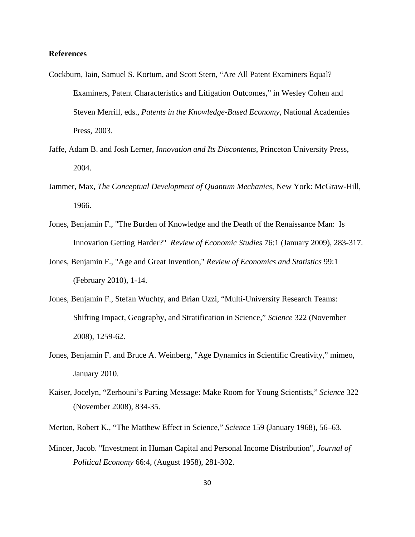# **References**

- Cockburn, Iain, Samuel S. Kortum, and Scott Stern, "Are All Patent Examiners Equal? Examiners, Patent Characteristics and Litigation Outcomes," in Wesley Cohen and Steven Merrill, eds., *Patents in the Knowledge-Based Economy*, National Academies Press, 2003.
- Jaffe, Adam B. and Josh Lerner, *Innovation and Its Discontents*, Princeton University Press, 2004.
- Jammer, Max, *The Conceptual Development of Quantum Mechanics*, New York: McGraw-Hill, 1966.
- Jones, Benjamin F., "The Burden of Knowledge and the Death of the Renaissance Man: Is Innovation Getting Harder?" *Review of Economic Studies* 76:1 (January 2009), 283-317.
- Jones, Benjamin F., "Age and Great Invention," *Review of Economics and Statistics* 99:1 (February 2010), 1-14.
- Jones, Benjamin F., Stefan Wuchty, and Brian Uzzi, "Multi-University Research Teams: Shifting Impact, Geography, and Stratification in Science," *Science* 322 (November 2008), 1259-62.
- Jones, Benjamin F. and Bruce A. Weinberg, "Age Dynamics in Scientific Creativity," mimeo, January 2010.
- Kaiser, Jocelyn, "Zerhouni's Parting Message: Make Room for Young Scientists," *Science* 322 (November 2008), 834-35.
- Merton, Robert K., "The Matthew Effect in Science," *Science* 159 (January 1968), 56–63.
- Mincer, Jacob. "Investment in Human Capital and Personal Income Distribution", *Journal of Political Economy* 66:4, (August 1958), 281-302.